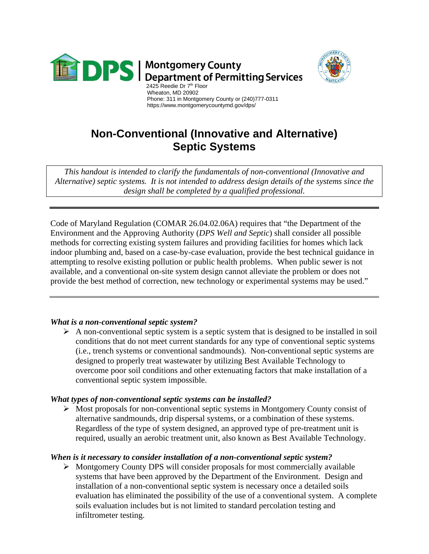



#### Wheaton, MD 20902 Phone: 311 in Montgomery County or (240)777-0311 https://www.montgomerycountymd.gov/dps/

# **Non-Conventional (Innovative and Alternative) Septic Systems**

*This handout is intended to clarify the fundamentals of non-conventional (Innovative and Alternative) septic systems. It is not intended to address design details of the systems since the design shall be completed by a qualified professional.*

Code of Maryland Regulation (COMAR 26.04.02.06A) requires that "the Department of the Environment and the Approving Authority (*DPS Well and Septic*) shall consider all possible methods for correcting existing system failures and providing facilities for homes which lack indoor plumbing and, based on a case-by-case evaluation, provide the best technical guidance in attempting to resolve existing pollution or public health problems. When public sewer is not available, and a conventional on-site system design cannot alleviate the problem or does not provide the best method of correction, new technology or experimental systems may be used."

# *What is a non-conventional septic system?*

 $\triangleright$  A non-conventional septic system is a septic system that is designed to be installed in soil conditions that do not meet current standards for any type of conventional septic systems (i.e., trench systems or conventional sandmounds). Non-conventional septic systems are designed to properly treat wastewater by utilizing Best Available Technology to overcome poor soil conditions and other extenuating factors that make installation of a conventional septic system impossible.

# *What types of non-conventional septic systems can be installed?*

 $\triangleright$  Most proposals for non-conventional septic systems in Montgomery County consist of alternative sandmounds, drip dispersal systems, or a combination of these systems. Regardless of the type of system designed, an approved type of pre-treatment unit is required, usually an aerobic treatment unit, also known as Best Available Technology.

# *When is it necessary to consider installation of a non-conventional septic system?*

 $\triangleright$  Montgomery County DPS will consider proposals for most commercially available systems that have been approved by the Department of the Environment. Design and installation of a non-conventional septic system is necessary once a detailed soils evaluation has eliminated the possibility of the use of a conventional system. A complete soils evaluation includes but is not limited to standard percolation testing and infiltrometer testing.